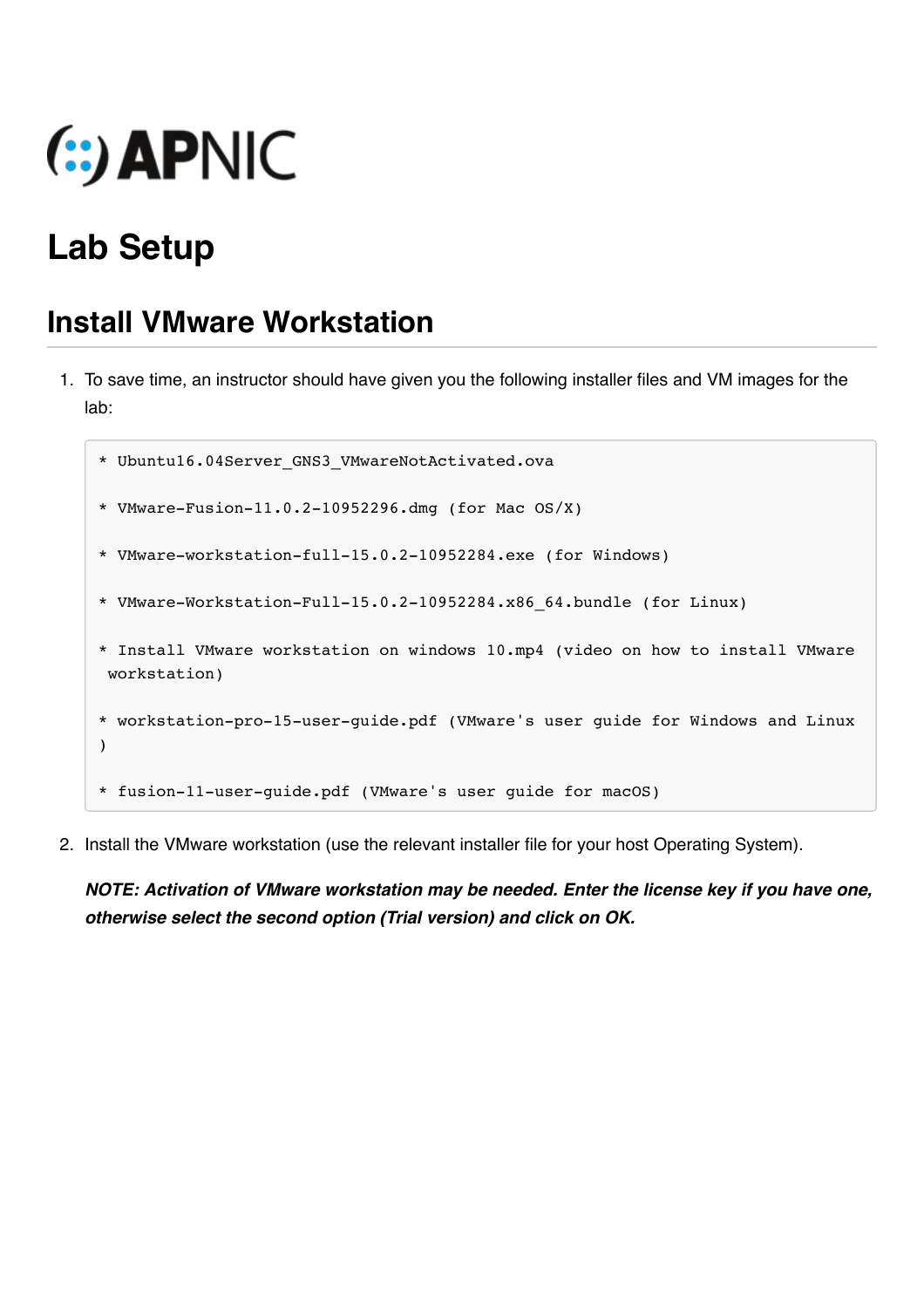

# **Lab Setup**

)

### **Install VMware Workstation**

- 1. To save time, an instructor should have given you the following installer files and VM images for the lab:
	- \* Ubuntu16.04Server\_GNS3\_VMwareNotActivated.ova
	- \* VMware-Fusion-11.0.2-10952296.dmg (for Mac OS/X)
	- \* VMware-workstation-full-15.0.2-10952284.exe (for Windows)
	- \* VMware-Workstation-Full-15.0.2-10952284.x86\_64.bundle (for Linux)
	- \* Install VMware workstation on windows 10.mp4 (video on how to install VMware workstation)
	- \* workstation-pro-15-user-guide.pdf (VMware's user guide for Windows and Linux
	- \* fusion-11-user-guide.pdf (VMware's user guide for macOS)
- 2. Install the VMware workstation (use the relevant installer file for your host Operating System).

*NOTE: Activation of VMware workstation may be needed. Enter the license key if you have one, otherwise select the second option (Trial version) and click on OK.*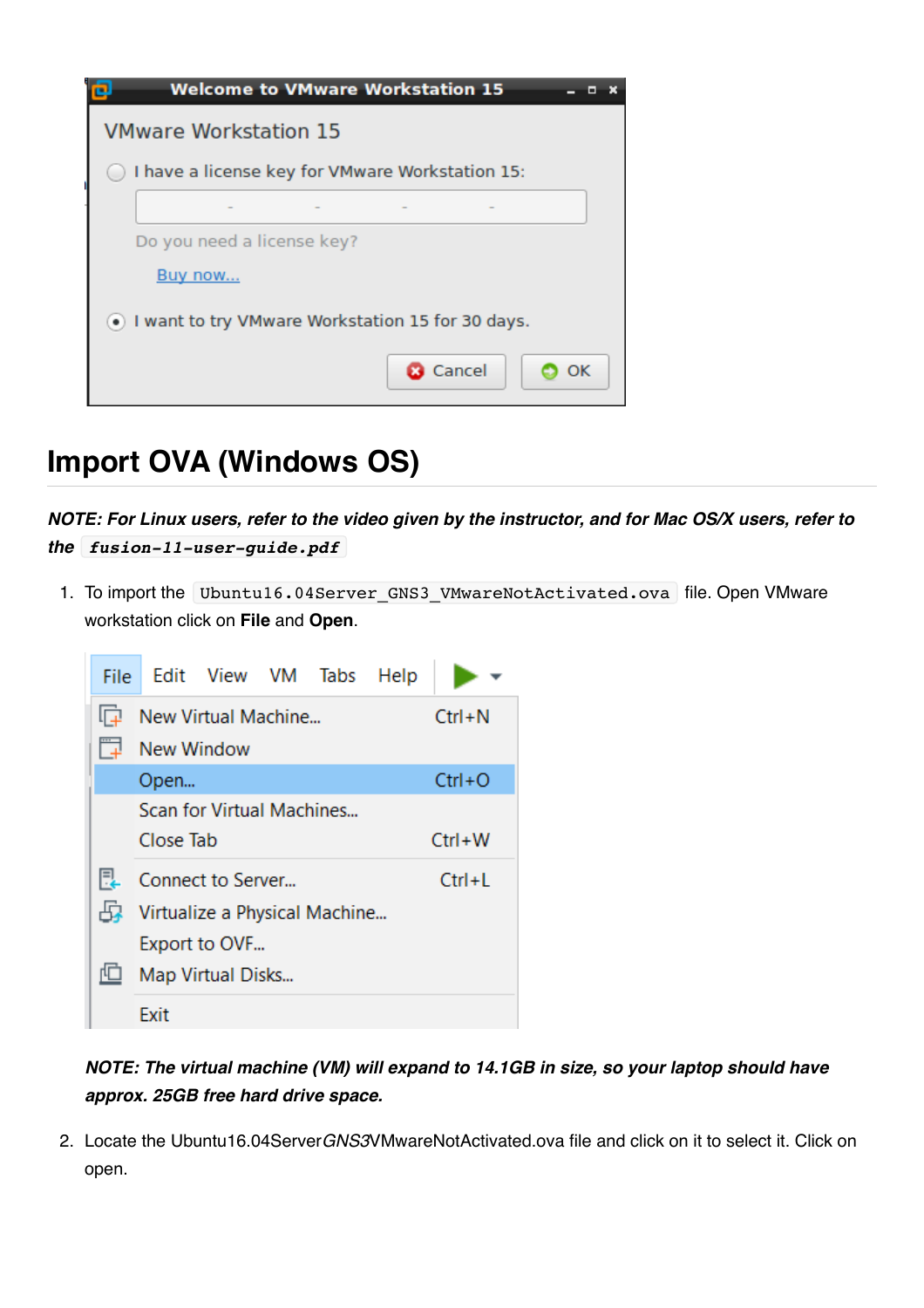

## **Import OVA (Windows OS)**

*NOTE: For Linux users, refer to the video given by the instructor, and for Mac OS/X users, refer to the fusion-11-user-guide.pdf*

1. To import the Ubuntu16.04Server GNS3 VMwareNotActivated.ova file. Open VMware workstation click on **File** and **Open**.



### *NOTE: The virtual machine (VM) will expand to 14.1GB in size, so your laptop should have approx. 25GB free hard drive space.*

2. Locate the Ubuntu16.04Server*GNS3*VMwareNotActivated.ova file and click on it to select it. Click on open.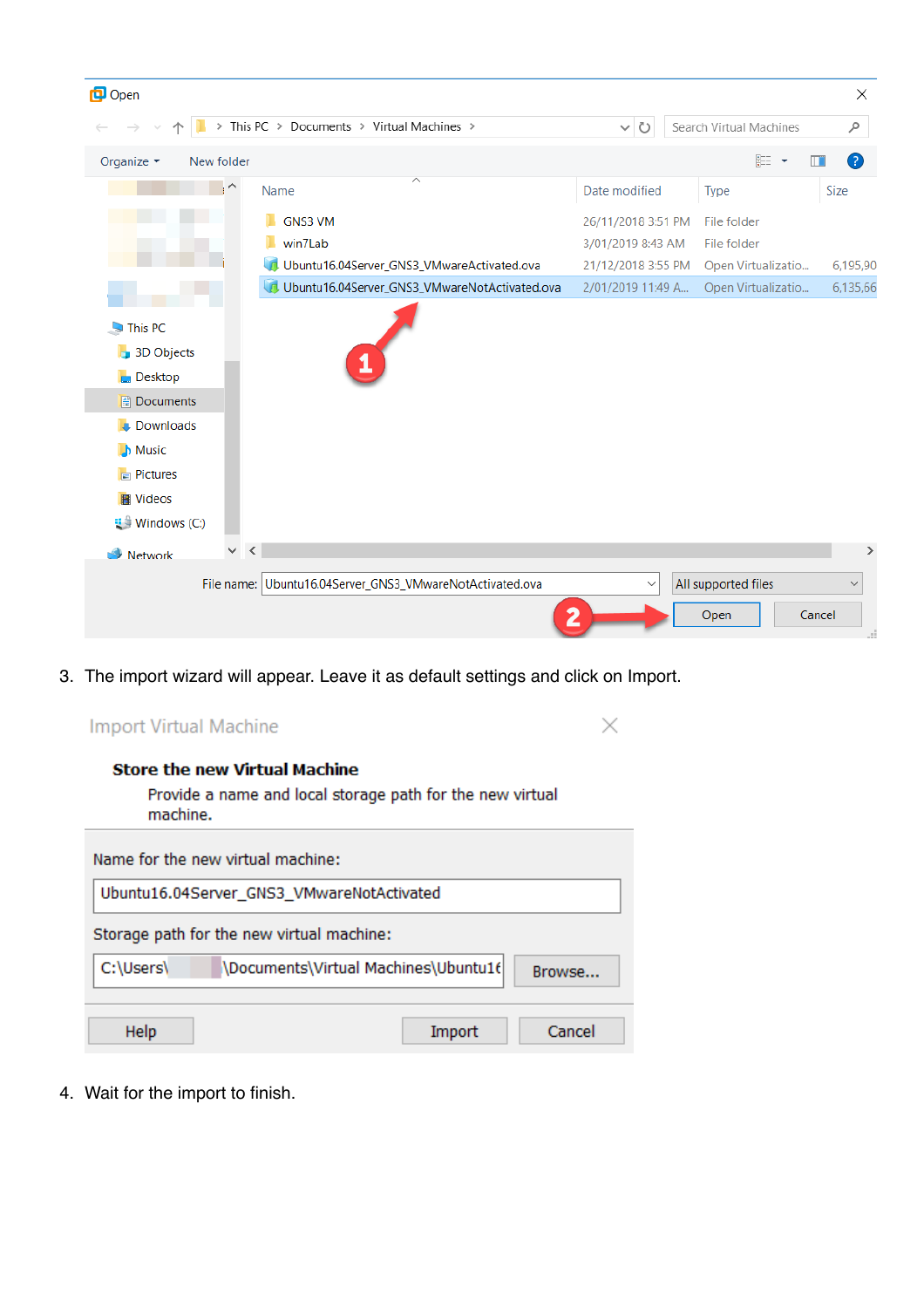| <b>D</b> Open                                                                                                                                                                        |            |                                                          |                    |                             | ×                            |
|--------------------------------------------------------------------------------------------------------------------------------------------------------------------------------------|------------|----------------------------------------------------------|--------------------|-----------------------------|------------------------------|
|                                                                                                                                                                                      |            | > This PC > Documents > Virtual Machines >               | $\sim$ 0           | Search Virtual Machines     | مر                           |
| Organize v                                                                                                                                                                           | New folder |                                                          |                    | 非 →                         | Ø<br>$\Box$                  |
|                                                                                                                                                                                      | $\lambda$  | ∧<br>Name                                                | Date modified      | <b>Type</b>                 | Size                         |
|                                                                                                                                                                                      |            | <b>GNS3 VM</b>                                           | 26/11/2018 3:51 PM | File folder                 |                              |
|                                                                                                                                                                                      |            | win7Lab                                                  | 3/01/2019 8:43 AM  | File folder                 |                              |
|                                                                                                                                                                                      |            | Ubuntu16.04Server_GNS3_VMwareActivated.ova               | 21/12/2018 3:55 PM | Open Virtualizatio          | 6,195,90                     |
|                                                                                                                                                                                      |            | Ubuntu16.04Server_GNS3_VMwareNotActivated.ova            | 2/01/2019 11:49 A  | Open Virtualizatio          | 6,135,66                     |
| $\nightharpoonup$ This PC<br><b>B</b> 3D Objects<br><b>Desktop</b><br><b>B</b> Documents<br><b>Downloads</b><br><b>Music</b><br>$\Box$ Pictures<br><b>图 Videos</b><br>U Windows (C:) | $\vee$ <   |                                                          |                    |                             | $\rightarrow$                |
| Network                                                                                                                                                                              |            | File name: Ubuntu16.04Server_GNS3_VMwareNotActivated.ova | $\checkmark$       | All supported files<br>Open | $\checkmark$<br>Cancel<br>a. |

 $\times$ 

3. The import wizard will appear. Leave it as default settings and click on Import.

| <b>Store the new Virtual Machine</b>                                  |
|-----------------------------------------------------------------------|
| Provide a name and local storage path for the new virtual<br>machine. |
| Name for the new virtual machine:                                     |
| Ubuntu16.04Server_GNS3_VMwareNotActivated                             |
| Storage path for the new virtual machine:                             |
| C:\Users\<br>\Documents\Virtual Machines\Ubuntu16<br>Rrov             |

wse... Import Help Cancel

4. Wait for the import to finish.

**Import Virtual Machine**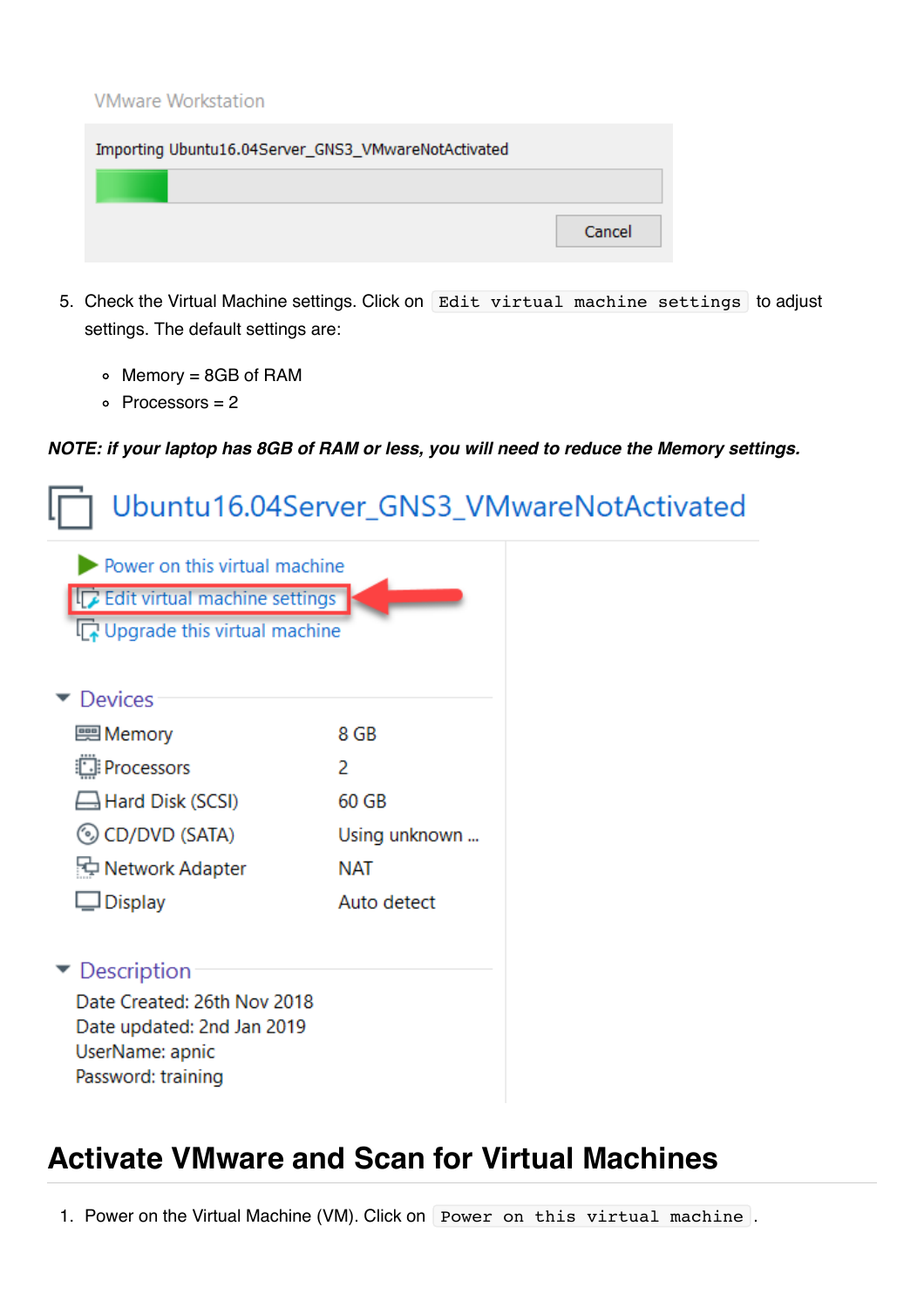#### **VMware Workstation**

| Importing Ubuntu16.04Server_GNS3_VMwareNotActivated |        |  |  |
|-----------------------------------------------------|--------|--|--|
|                                                     |        |  |  |
|                                                     | Cancel |  |  |

- 5. Check the Virtual Machine settings. Click on Edit virtual machine settings to adjust settings. The default settings are:
	- $\circ$  Memory = 8GB of RAM
	- $\circ$  Processors = 2

#### *NOTE: if your laptop has 8GB of RAM or less, you will need to reduce the Memory settings.*

|                                                                                                    |               | Ubuntu16.04Server_GNS3_VMwareNotActivated |
|----------------------------------------------------------------------------------------------------|---------------|-------------------------------------------|
| Power on this virtual machine<br>Edit virtual machine settings<br>Upgrade this virtual machine     |               |                                           |
| <b>Devices</b>                                                                                     |               |                                           |
| Memory                                                                                             | 8 GB          |                                           |
| Processors                                                                                         | 2             |                                           |
| $\exists$ Hard Disk (SCSI)                                                                         | 60 GB         |                                           |
| © CD/DVD (SATA)                                                                                    | Using unknown |                                           |
| Network Adapter                                                                                    | NAT           |                                           |
| $\Box$ Display                                                                                     | Auto detect   |                                           |
| $\blacktriangleright$ Description                                                                  |               |                                           |
| Date Created: 26th Nov 2018<br>Date updated: 2nd Jan 2019<br>UserName: apnic<br>Password: training |               |                                           |

### **Activate VMware and Scan for Virtual Machines**

1. Power on the Virtual Machine (VM). Click on Power on this virtual machine.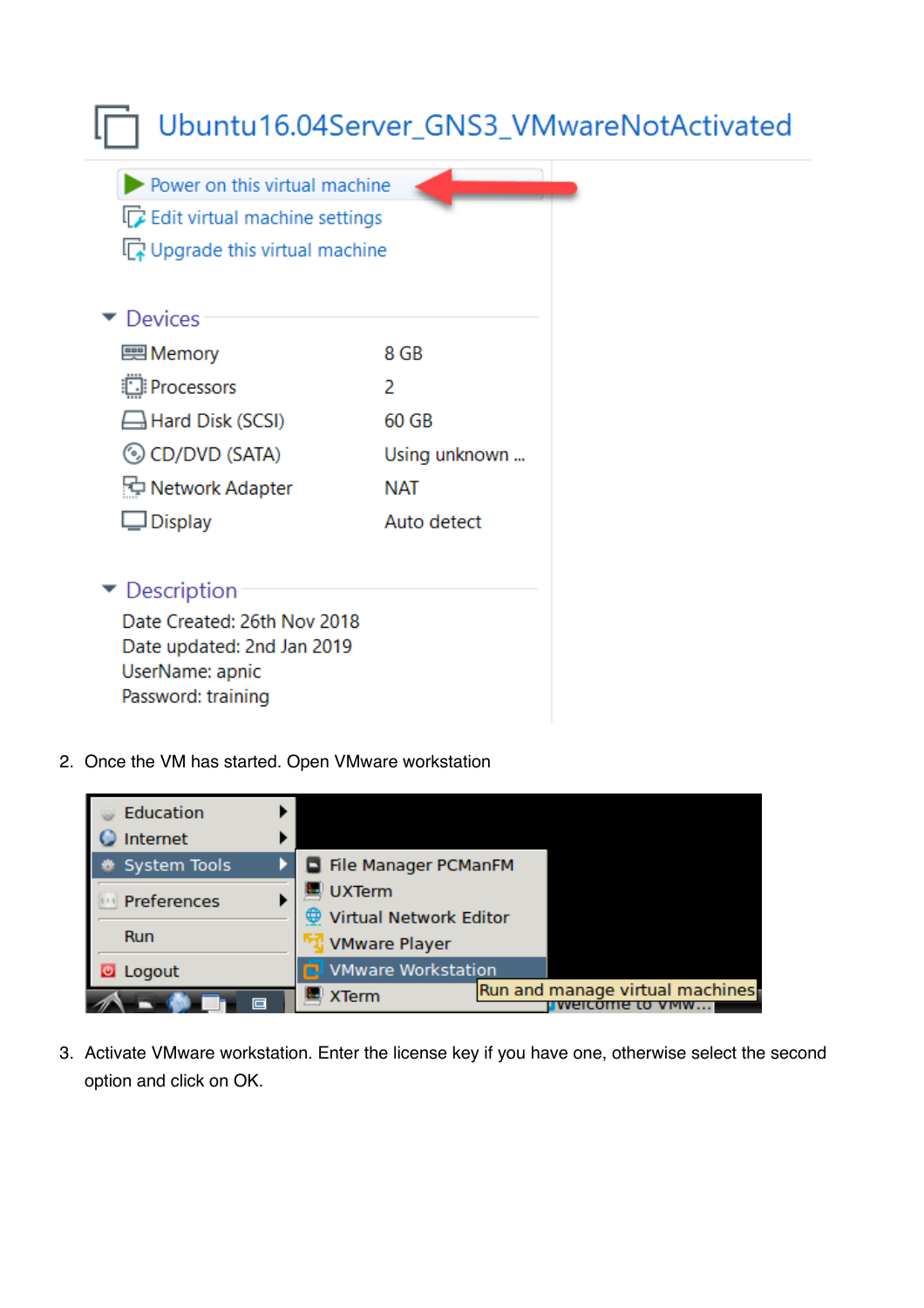|                                                                                                             |               | Ubuntu16.04Server_GNS3_VMwareNotActivated |
|-------------------------------------------------------------------------------------------------------------|---------------|-------------------------------------------|
| Power on this virtual machine<br>$\mathbb{R}$ Edit virtual machine settings<br>Upgrade this virtual machine |               |                                           |
| <b>Devices</b>                                                                                              |               |                                           |
| — Memory                                                                                                    | 8 GB          |                                           |
| Processors                                                                                                  | 2             |                                           |
| $\Box$ Hard Disk (SCSI)                                                                                     | 60 GB         |                                           |
| © CD/DVD (SATA)                                                                                             | Using unknown |                                           |
| Network Adapter                                                                                             | NAT           |                                           |
| $\Box$ Display                                                                                              | Auto detect   |                                           |
| $\blacktriangleright$ Description                                                                           |               |                                           |
| Date Created: 26th Nov 2018<br>Date updated: 2nd Jan 2019<br>UserName: apnic                                |               |                                           |

Password: training

2. Once the VM has started. Open VMware workstation



3. Activate VMware workstation. Enter the license key if you have one, otherwise select the second option and click on OK.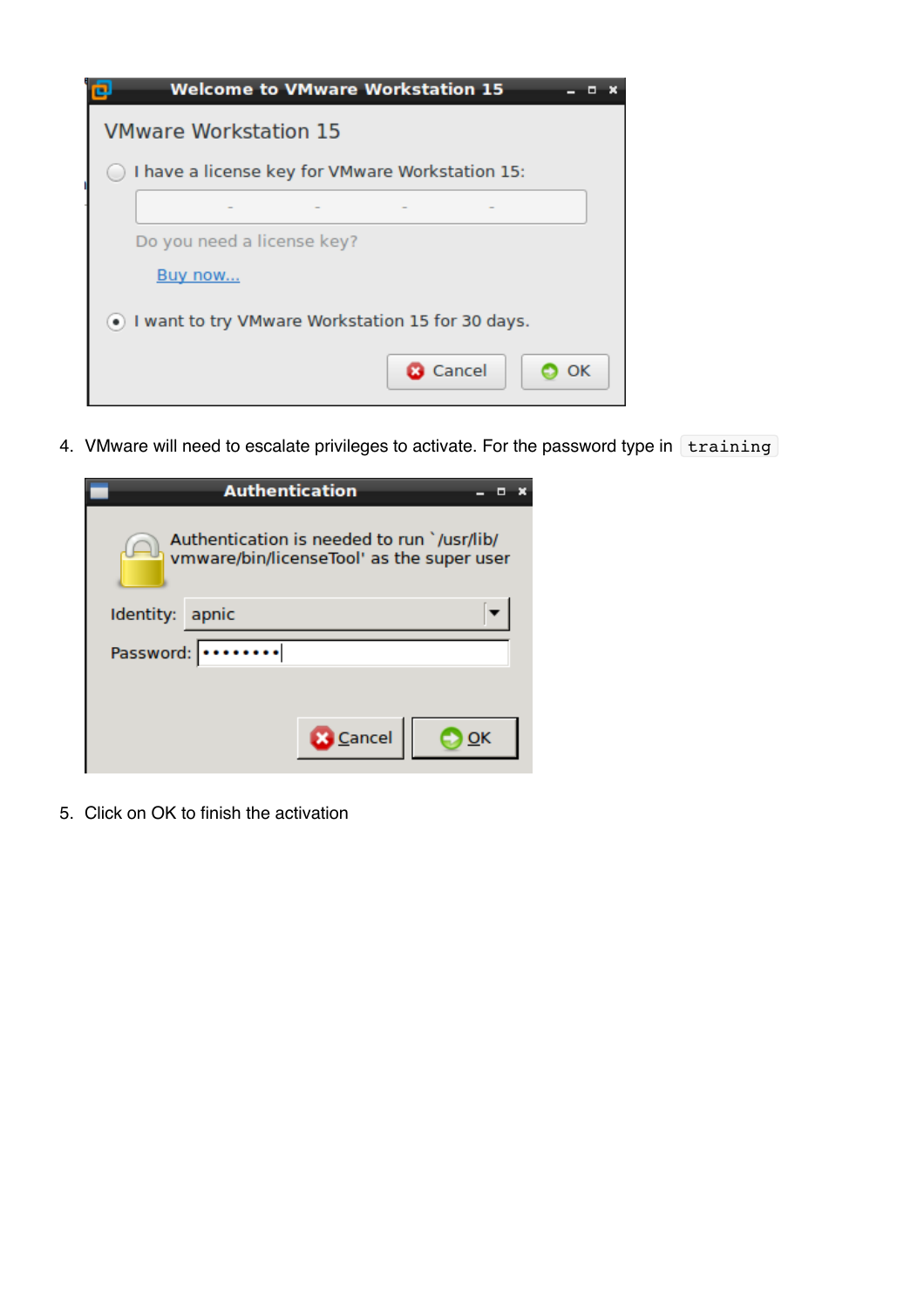

4. VMware will need to escalate privileges to activate. For the password type in training

|                                                                                         | <b>Authentication</b> |    |  |  |
|-----------------------------------------------------------------------------------------|-----------------------|----|--|--|
| Authentication is needed to run `/usr/lib/<br>vmware/bin/licenseTool' as the super user |                       |    |  |  |
| Identity: apnic                                                                         |                       |    |  |  |
| Password:                                                                               |                       |    |  |  |
|                                                                                         |                       |    |  |  |
|                                                                                         | <b>B</b> Cancel       | ок |  |  |

5. Click on OK to finish the activation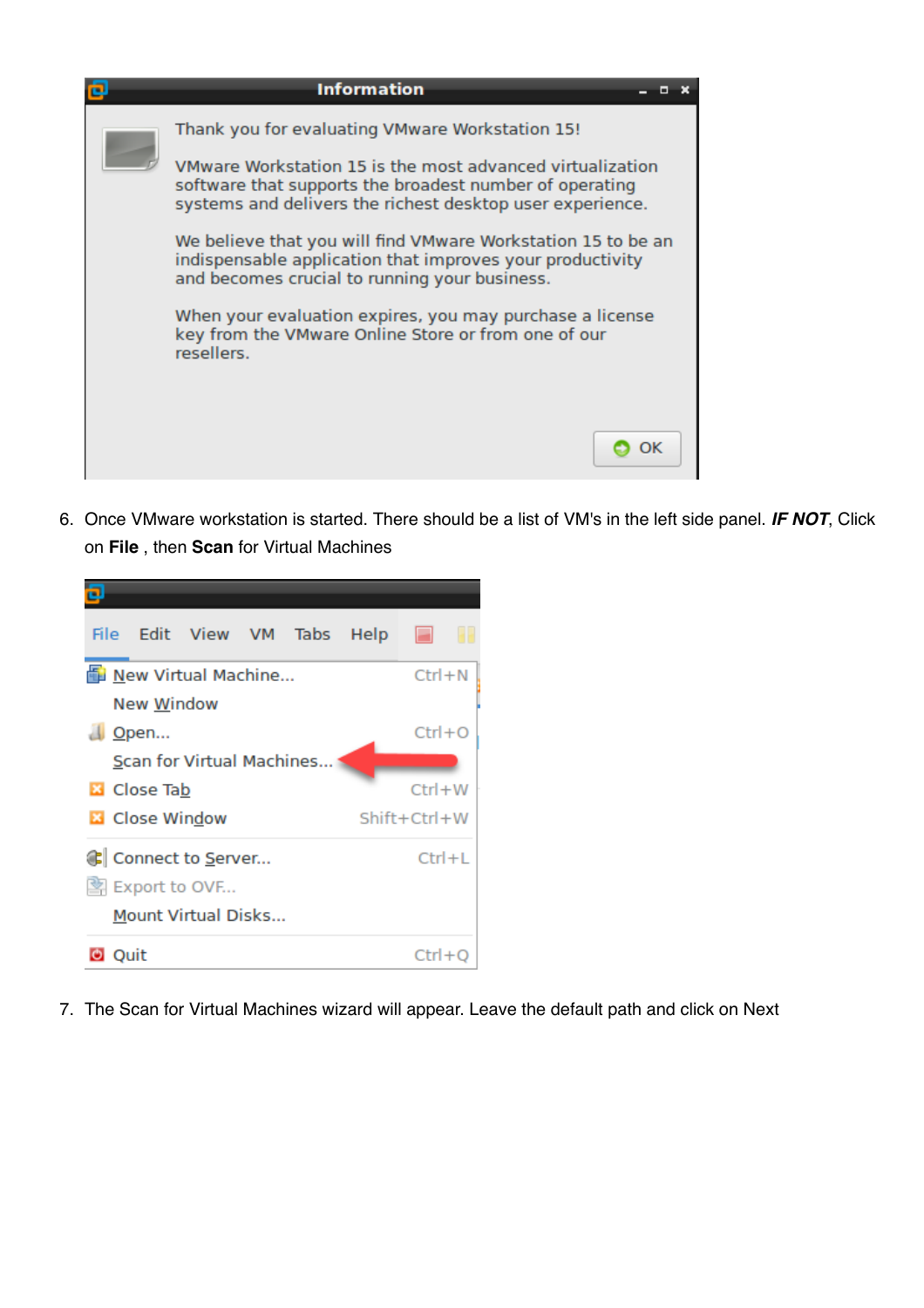

6. Once VMware workstation is started. There should be a list of VM's in the left side panel. *IF NOT*, Click on **File** , then **Scan** for Virtual Machines



7. The Scan for Virtual Machines wizard will appear. Leave the default path and click on Next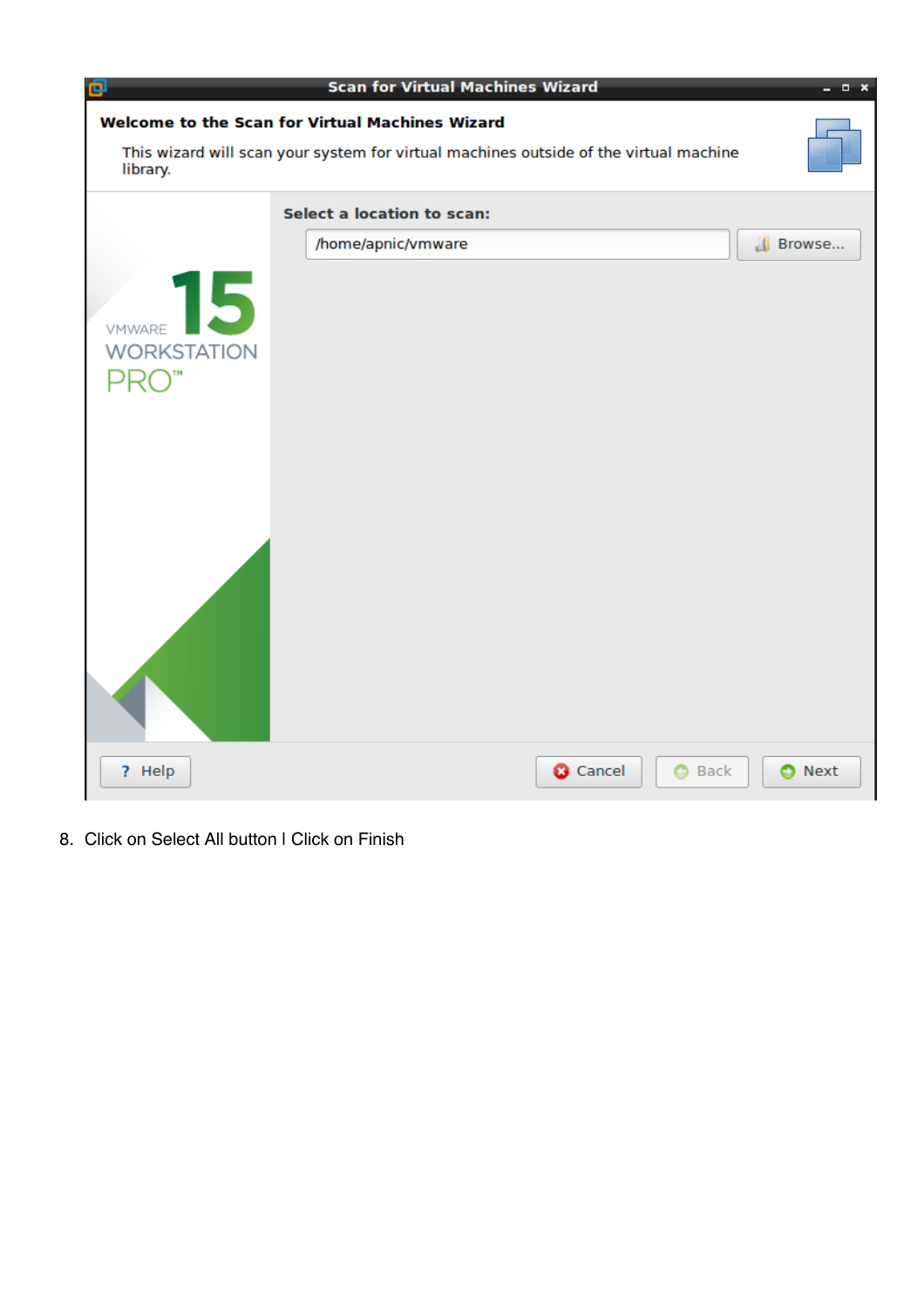

8. Click on Select All button I Click on Finish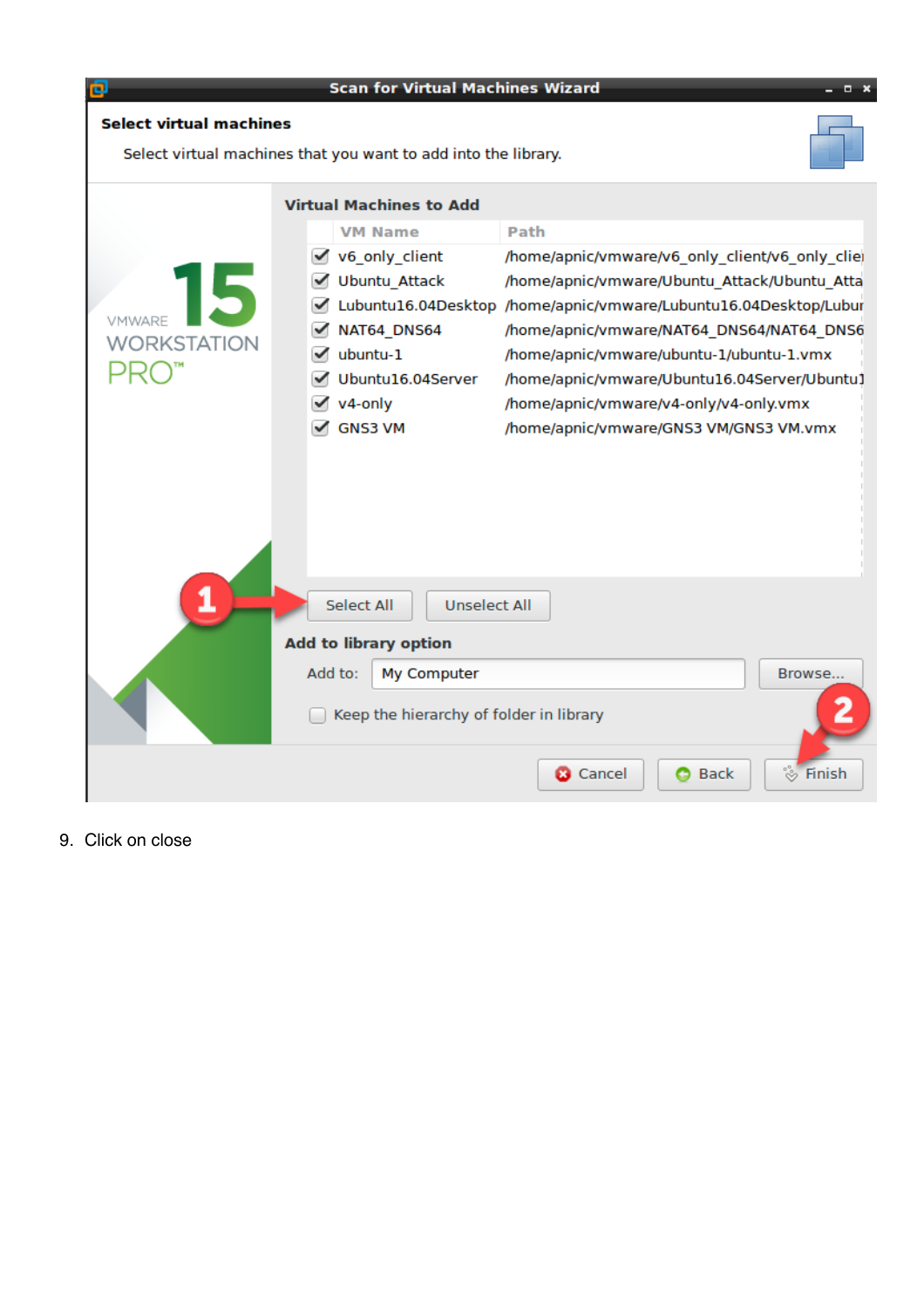

### **Scan for Virtual Machines Wizard**

 $\times$ 

r.

### **Select virtual machines**

Select virtual machines that you want to add into the library.

|                              |         | <b>Virtual Machines to Add</b>           |                                                 |          |
|------------------------------|---------|------------------------------------------|-------------------------------------------------|----------|
|                              |         | <b>VM Name</b>                           | Path                                            |          |
|                              | ✓       | v6_only_client                           | /home/apnic/vmware/v6_only_client/v6_only_clier |          |
|                              |         | <b>Ubuntu Attack</b>                     | /home/apnic/vmware/Ubuntu Attack/Ubuntu Atta    |          |
|                              |         | Lubuntu16.04Desktop                      | /home/apnic/vmware/Lubuntu16.04Desktop/Lubur    |          |
| VMWARE                       |         | NAT64 DNS64                              | /home/apnic/vmware/NAT64_DNS64/NAT64_DNS6       |          |
| WORKSTATION                  |         | ubuntu-1                                 | /home/apnic/vmware/ubuntu-1/ubuntu-1.vmx        |          |
|                              |         | Ubuntu16.04Server                        | /home/apnic/vmware/Ubuntu16.04Server/Ubuntu1    |          |
|                              |         | v4-only                                  | /home/apnic/vmware/v4-only/v4-only.vmx          |          |
|                              |         | <b>GNS3 VM</b>                           | /home/apnic/vmware/GNS3 VM/GNS3 VM.vmx          |          |
|                              |         |                                          |                                                 |          |
|                              |         |                                          |                                                 |          |
|                              |         |                                          |                                                 |          |
|                              |         |                                          |                                                 |          |
|                              |         |                                          |                                                 |          |
|                              |         |                                          |                                                 |          |
|                              |         | <b>Select All</b><br><b>Unselect All</b> |                                                 |          |
| <b>Add to library option</b> |         |                                          |                                                 |          |
|                              | Add to: | My Computer                              |                                                 | Browse   |
|                              |         |                                          |                                                 |          |
|                              |         | Keep the hierarchy of folder in library  |                                                 |          |
|                              |         |                                          |                                                 |          |
|                              |         |                                          | <b>3</b> Cancel<br><b>O</b> Back                | & Finish |
|                              |         |                                          |                                                 |          |

9. Click on close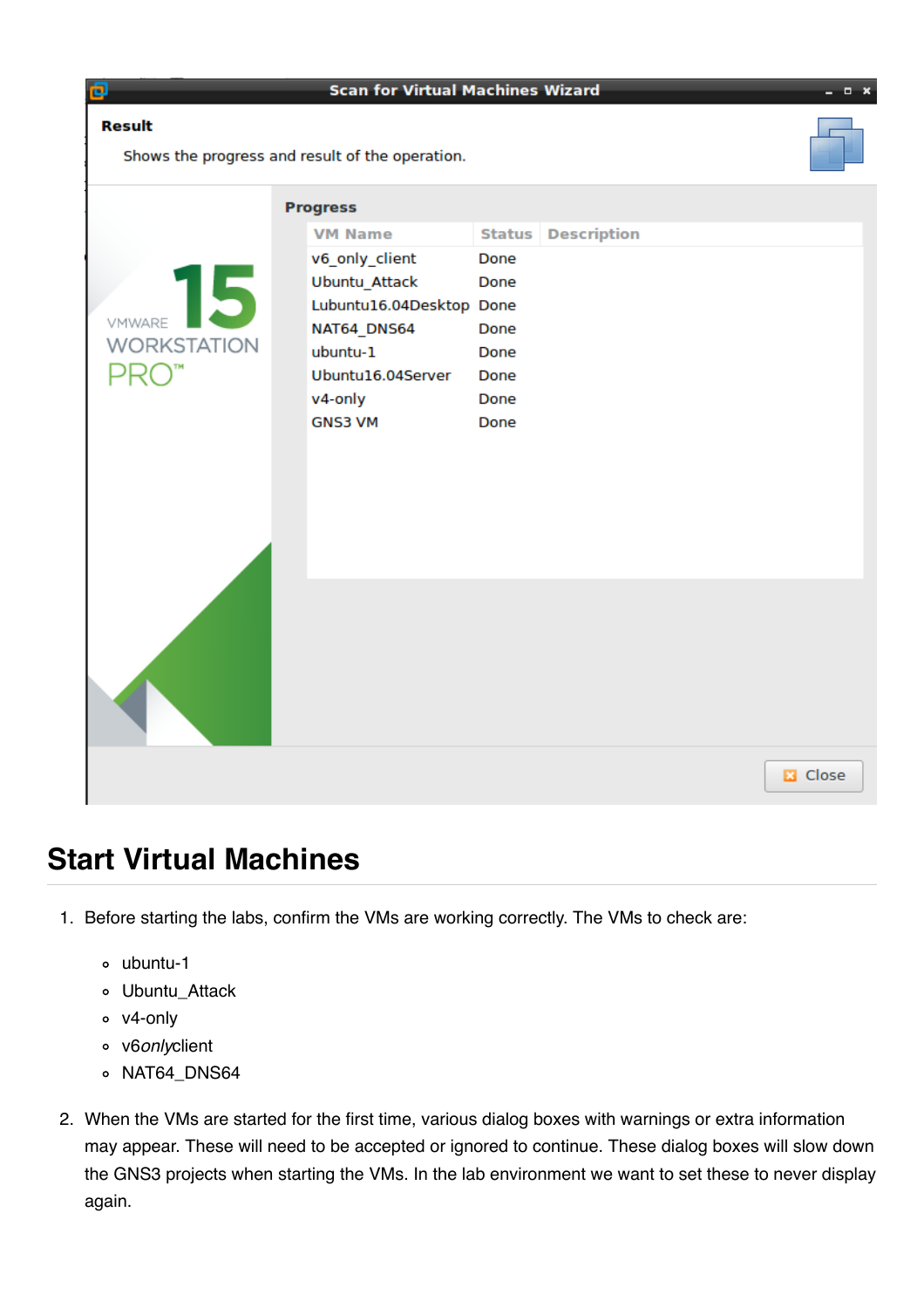| Ð                  | <b>Scan for Virtual Machines Wizard</b>         |                           | $  \times$      |
|--------------------|-------------------------------------------------|---------------------------|-----------------|
| <b>Result</b>      | Shows the progress and result of the operation. |                           |                 |
|                    | <b>Progress</b>                                 |                           |                 |
|                    | <b>VM Name</b>                                  | <b>Status Description</b> |                 |
|                    | v6_only_client                                  | Done                      |                 |
| 15                 | <b>Ubuntu_Attack</b>                            | Done                      |                 |
| VMWARE             | Lubuntu16.04Desktop Done                        |                           |                 |
| <b>WORKSTATION</b> | NAT64_DNS64<br>ubuntu-1                         | Done<br>Done              |                 |
|                    | Ubuntu16.04Server                               | Done                      |                 |
|                    | v4-only                                         | Done                      |                 |
|                    | <b>GNS3 VM</b>                                  | Done                      |                 |
|                    |                                                 |                           |                 |
|                    |                                                 |                           |                 |
|                    |                                                 |                           |                 |
|                    |                                                 |                           |                 |
|                    |                                                 |                           |                 |
|                    |                                                 |                           |                 |
|                    |                                                 |                           |                 |
|                    |                                                 |                           |                 |
|                    |                                                 |                           |                 |
|                    |                                                 |                           |                 |
|                    |                                                 |                           |                 |
|                    |                                                 |                           |                 |
|                    |                                                 |                           | <b>E3</b> Close |
|                    |                                                 |                           |                 |

### **Start Virtual Machines**

- 1. Before starting the labs, confirm the VMs are working correctly. The VMs to check are:
	- ubuntu-1
	- Ubuntu\_Attack
	- v4-only
	- v6*only*client
	- o NAT64\_DNS64
- 2. When the VMs are started for the first time, various dialog boxes with warnings or extra information may appear. These will need to be accepted or ignored to continue. These dialog boxes will slow down the GNS3 projects when starting the VMs. In the lab environment we want to set these to never display again.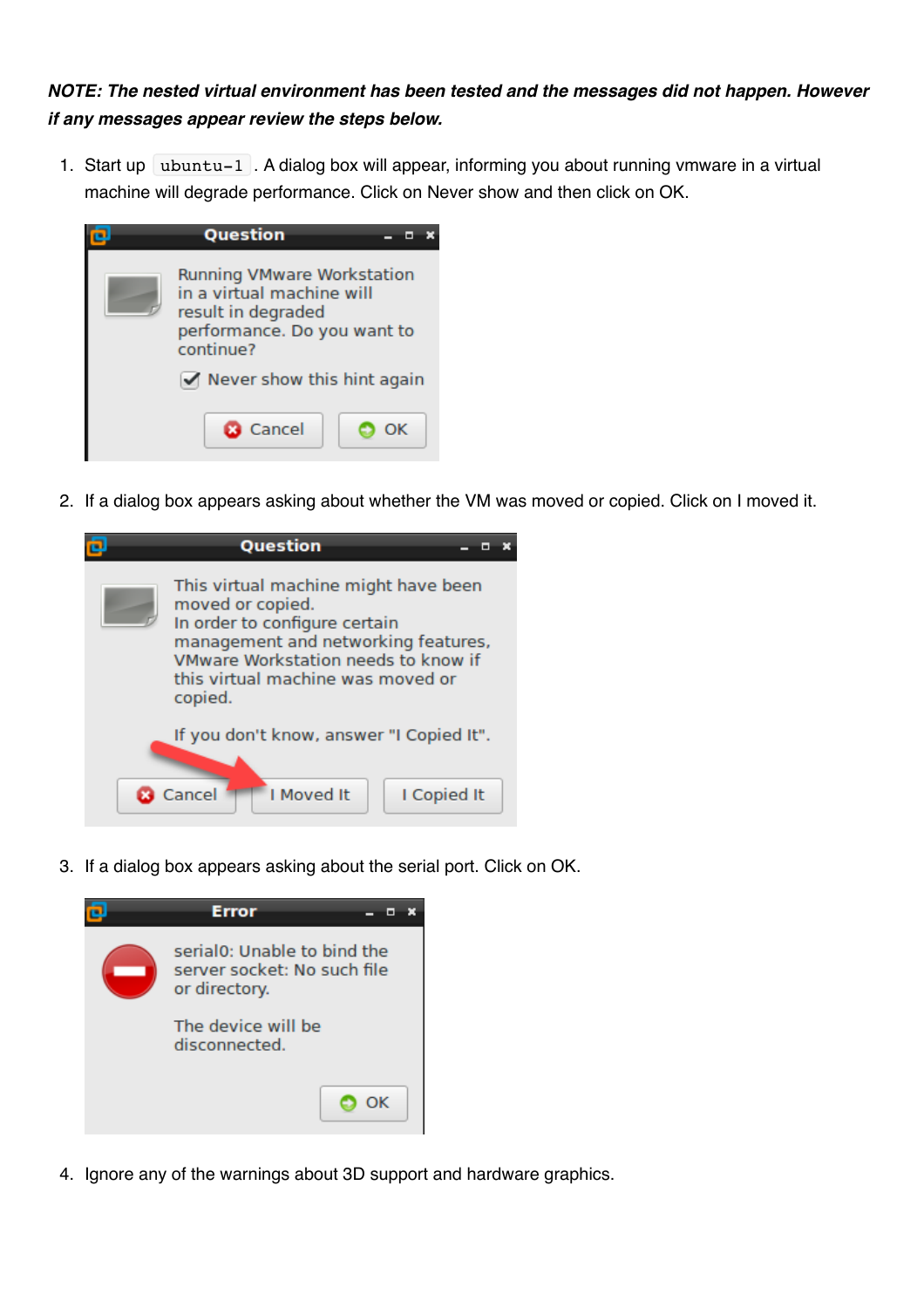### *NOTE: The nested virtual environment has been tested and the messages did not happen. However if any messages appear review the steps below.*

1. Start up  $\vert$  ubuntu-1 . A dialog box will appear, informing you about running vmware in a virtual machine will degrade performance. Click on Never show and then click on OK.



2. If a dialog box appears asking about whether the VM was moved or copied. Click on I moved it.



3. If a dialog box appears asking about the serial port. Click on OK.



4. Ignore any of the warnings about 3D support and hardware graphics.